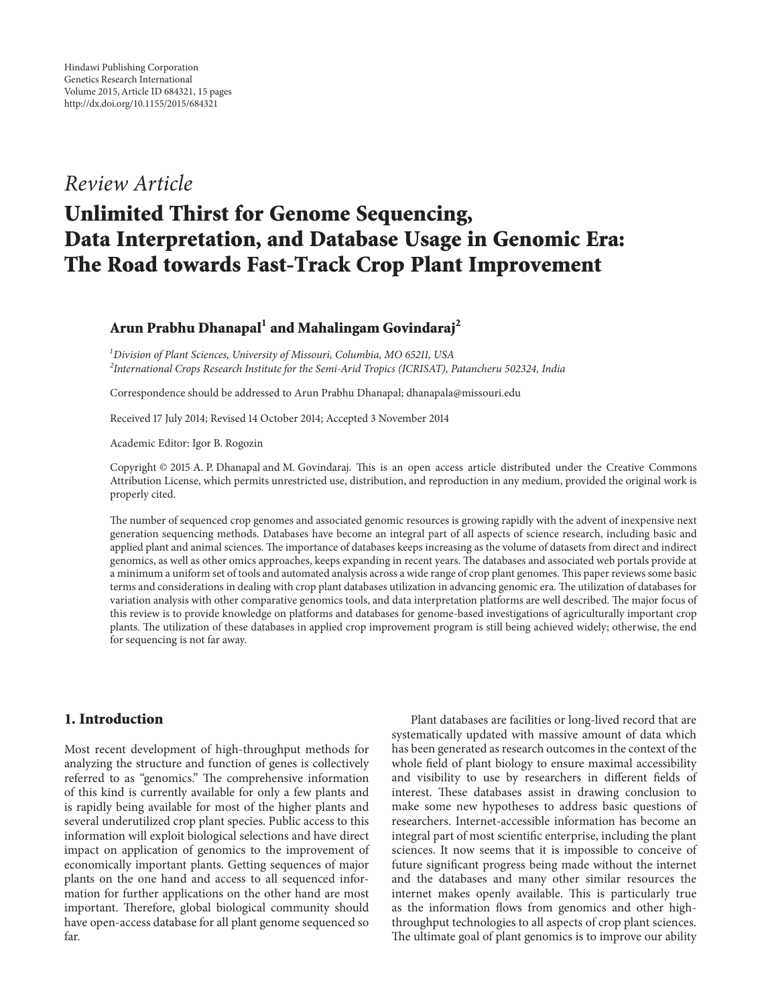# *Review Article*

# **Unlimited Thirst for Genome Sequencing, Data Interpretation, and Database Usage in Genomic Era: The Road towards Fast-Track Crop Plant Improvement**

## **Arun Prabhu Dhanapal1 and Mahalingam Govindaraj<sup>2</sup>**

*1 Division of Plant Sciences, University of Missouri, Columbia, MO 65211, USA 2 International Crops Research Institute for the Semi-Arid Tropics (ICRISAT), Patancheru 502324, India*

Correspondence should be addressed to Arun Prabhu Dhanapal; dhanapala@missouri.edu

Received 17 July 2014; Revised 14 October 2014; Accepted 3 November 2014

Academic Editor: Igor B. Rogozin

Copyright © 2015 A. P. Dhanapal and M. Govindaraj. This is an open access article distributed under the Creative Commons Attribution License, which permits unrestricted use, distribution, and reproduction in any medium, provided the original work is properly cited.

The number of sequenced crop genomes and associated genomic resources is growing rapidly with the advent of inexpensive next generation sequencing methods. Databases have become an integral part of all aspects of science research, including basic and applied plant and animal sciences. The importance of databases keeps increasing as the volume of datasets from direct and indirect genomics, as well as other omics approaches, keeps expanding in recent years. The databases and associated web portals provide at a minimum a uniform set of tools and automated analysis across a wide range of crop plant genomes. This paper reviews some basic terms and considerations in dealing with crop plant databases utilization in advancing genomic era. The utilization of databases for variation analysis with other comparative genomics tools, and data interpretation platforms are well described. The major focus of this review is to provide knowledge on platforms and databases for genome-based investigations of agriculturally important crop plants. The utilization of these databases in applied crop improvement program is still being achieved widely; otherwise, the end for sequencing is not far away.

#### **1. Introduction**

Most recent development of high-throughput methods for analyzing the structure and function of genes is collectively referred to as "genomics." The comprehensive information of this kind is currently available for only a few plants and is rapidly being available for most of the higher plants and several underutilized crop plant species. Public access to this information will exploit biological selections and have direct impact on application of genomics to the improvement of economically important plants. Getting sequences of major plants on the one hand and access to all sequenced information for further applications on the other hand are most important. Therefore, global biological community should have open-access database for all plant genome sequenced so far.

Plant databases are facilities or long-lived record that are systematically updated with massive amount of data which has been generated as research outcomes in the context of the whole field of plant biology to ensure maximal accessibility and visibility to use by researchers in different fields of interest. These databases assist in drawing conclusion to make some new hypotheses to address basic questions of researchers. Internet-accessible information has become an integral part of most scientific enterprise, including the plant sciences. It now seems that it is impossible to conceive of future significant progress being made without the internet and the databases and many other similar resources the internet makes openly available. This is particularly true as the information flows from genomics and other highthroughput technologies to all aspects of crop plant sciences. The ultimate goal of plant genomics is to improve our ability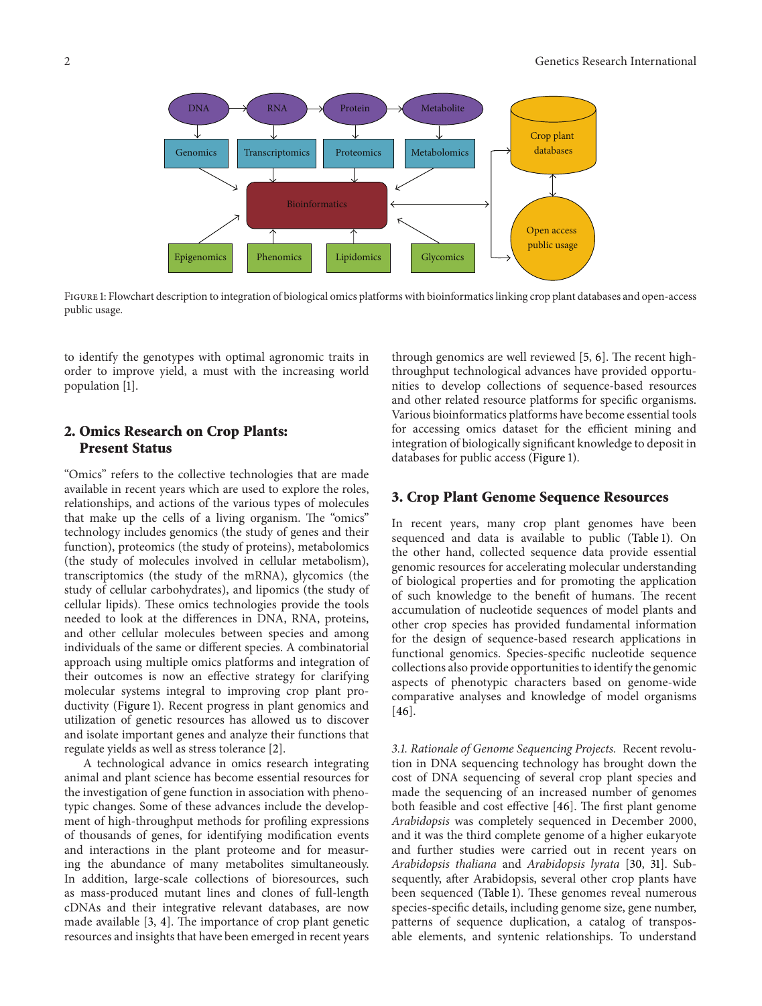

Figure 1: Flowchart description to integration of biological omics platforms with bioinformatics linking crop plant databases and open-access public usage.

to identify the genotypes with optimal agronomic traits in order to improve yield, a must with the increasing world population [1].

#### **2. Omics Research on Crop Plants: Present Status**

"Omics" refers to the collective technologies that are made available in recent years which are used to explore the roles, relationships, and actions of the various types of molecules that make up the cells of a living organism. The "omics" technology includes genomics (the study of genes and their function), proteomics (the study of proteins), metabolomics (the study of molecules involved in cellular metabolism), transcriptomics (the study of the mRNA), glycomics (the study of cellular carbohydrates), and lipomics (the study of cellular lipids). These omics technologies provide the tools needed to look at the differences in DNA, RNA, proteins, and other cellular molecules between species and among individuals of the same or different species. A combinatorial approach using multiple omics platforms and integration of their outcomes is now an effective strategy for clarifying molecular systems integral to improving crop plant productivity (Figure 1). Recent progress in plant genomics and utilization of genetic resources has allowed us to discover and isolate important genes and analyze their functions that regulate yields as well as stress tolerance [2].

A technological advance in omics research integrating animal and plant science has become essential resources for the investigation of gene function in association with phenotypic changes. Some of these advances include the development of high-throughput methods for profiling expressions of thousands of genes, for identifying modification events and interactions in the plant proteome and for measuring the abundance of many metabolites simultaneously. In addition, large-scale collections of bioresources, such as mass-produced mutant lines and clones of full-length cDNAs and their integrative relevant databases, are now made available [3, 4]. The importance of crop plant genetic resources and insights that have been emerged in recent years

through genomics are well reviewed [5, 6]. The recent highthroughput technological advances have provided opportunities to develop collections of sequence-based resources and other related resource platforms for specific organisms. Various bioinformatics platforms have become essential tools for accessing omics dataset for the efficient mining and integration of biologically significant knowledge to deposit in databases for public access (Figure 1).

#### **3. Crop Plant Genome Sequence Resources**

In recent years, many crop plant genomes have been sequenced and data is available to public (Table 1). On the other hand, collected sequence data provide essential genomic resources for accelerating molecular understanding of biological properties and for promoting the application of such knowledge to the benefit of humans. The recent accumulation of nucleotide sequences of model plants and other crop species has provided fundamental information for the design of sequence-based research applications in functional genomics. Species-specific nucleotide sequence collections also provide opportunities to identify the genomic aspects of phenotypic characters based on genome-wide comparative analyses and knowledge of model organisms [46].

*3.1. Rationale of Genome Sequencing Projects.* Recent revolution in DNA sequencing technology has brought down the cost of DNA sequencing of several crop plant species and made the sequencing of an increased number of genomes both feasible and cost effective [46]. The first plant genome *Arabidopsis* was completely sequenced in December 2000, and it was the third complete genome of a higher eukaryote and further studies were carried out in recent years on *Arabidopsis thaliana* and *Arabidopsis lyrata* [30, 31]. Subsequently, after Arabidopsis, several other crop plants have been sequenced (Table 1). These genomes reveal numerous species-specific details, including genome size, gene number, patterns of sequence duplication, a catalog of transposable elements, and syntenic relationships. To understand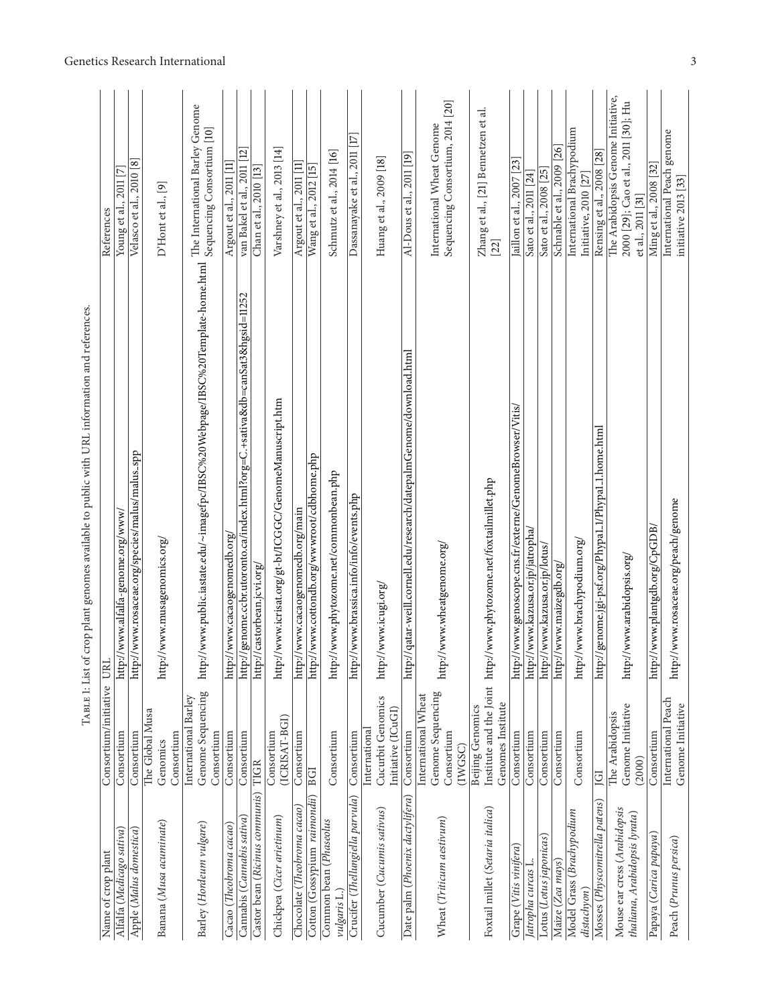|                                          |                                                                   | TABLE 1: List of crop plant genomes available to public with URL information and references |                                                                |
|------------------------------------------|-------------------------------------------------------------------|---------------------------------------------------------------------------------------------|----------------------------------------------------------------|
| Name of crop plant                       | Consortium/initiative                                             | E                                                                                           | References                                                     |
| Alfalfa (Medicago sativa)                | Consortium                                                        | http://www.alfalfa-genome.org/www/                                                          | Young et al., 2011 [7]                                         |
| Apple (Malus domestica)                  | Consortium                                                        | http://www.rosaceae.org/species/malus/malus_spp                                             | Velasco et al., 2010 [8]                                       |
|                                          | The Global Musa                                                   |                                                                                             |                                                                |
| Banana (Musa acuminate)                  | Consortium<br>Genomics                                            | http://www.musagenomics.org/                                                                | D'Hont et al., [9]                                             |
|                                          | International Barley                                              |                                                                                             | The International Barley Genome                                |
| Barley (Hordeum vulgare)                 | Genome Sequencing                                                 | ://www.public.iastate.edu/~imagefpc/IBSC%20Webpage/IBSC%20Template-home.html<br>http:       | Sequencing Consortium [10]                                     |
|                                          | Consortium                                                        |                                                                                             |                                                                |
| Cacao (Theobroma cacao)                  | Consortium                                                        | http://www.cacaogenomedb.org/                                                               | Argout et al., 2011 [11                                        |
| Cannabis (Cannabis sativa)               | Consortium                                                        | http://genome.ccbr.utoronto.ca/index.html?org=C.+sativa&db=canSat3&hgsid=11252              | van Bakel et al., 2011 [12]                                    |
| Castor bean (Ricinus communis)           | TIGR                                                              | http://castorbean.jcvi.org/                                                                 | Chan et al., 2010 [13]                                         |
| Chickpea (Cicer arietinum)               | (ICRISAT-BGI)<br>Consortium                                       | ://www.icrisat.org/gt-bt/ICGGC/GenomeManuscript.htm<br>http:                                | Varshney et al., 2013 [14]                                     |
| Chocolate (Theobroma cacao)              | Consortium                                                        | http://www.cacaogenomedb.org/main                                                           | Argout et al., 2011 [11                                        |
| Cotton (Gossypium raimondii)             | <b>BGI</b>                                                        | http://www.cottondb.org/wwwroot/cdbhome.php                                                 | Wang et al., 2012 [15]                                         |
| Common bean (Phaseolus<br>vulgaris L.)   | Consortium                                                        | ://www.phytozome.net/commonbean.php<br>http:                                                | Schmutz et al., 2014 [16]                                      |
| Crucifer (Thellungiella parvula)         | Consortium                                                        | http://www.brassica.info/info/events.php                                                    | Dassanayake et al., 2011 [17]                                  |
|                                          | International                                                     |                                                                                             |                                                                |
| Cucumber (Cucumis sativus)               | Cucurbit Genomics<br>Initiative (ICuGI)                           | ://www.icugi.org/<br>http:                                                                  | Huang et al., 2009 [18]                                        |
|                                          |                                                                   |                                                                                             |                                                                |
| Date palm (Phoenix dactylifera)          | Consortium                                                        | ://qatar-weill.cornell.edu/research/datepalmGenome/download.html<br>http:                   | Al-Dous et al., 2011 [19]                                      |
| Wheat (Triticum aestivum)                | Genome Sequencing<br>International Wheat<br>Consortium<br>(IWGSC) | ://www.wheatgenome.org/<br>http:<br>                                                        | Sequencing Consortium, 2014 [20]<br>International Wheat Genome |
|                                          |                                                                   |                                                                                             |                                                                |
| Foxtail millet (Setaria italica)         | Genomes Institute<br><b>Beijing Genomics</b>                      | Institute and the Joint http://www.phytozome.net/foxtailmillet.php                          | Zhang et al., [21] Bennetzen et al.<br>$[22]$                  |
| Grape (Vitis vinifera)                   | Consortium                                                        | http://www.genoscope.cns.fr/externe/GenomeBrowser/Vitis/                                    | Jaillon et al., 2007 [23]                                      |
| Jatropha curcas L.                       | Consortium                                                        | http://www.kazusa.or.jp/jatropha/                                                           | Sato et al., 2011 [24]                                         |
| Lotus (Lotus japonicas)                  | Consortium                                                        | http://www.kazusa.or.jp/lotus/                                                              | Sato et al., 2008 [25]                                         |
| Maize (Zea mays)                         | Consortium                                                        | http://www.maizegdb.org/                                                                    | Schnable et al., 2009 [26]                                     |
| Model Grass (Brachypodium<br>distachyon) | Consortium                                                        | ://www.brachypodium.org/<br>http:                                                           | International Brachypodium<br>Initiative, 2010 [27]            |
| Mosses (Physcomitrella patens)           | <b>ICI</b>                                                        | http://genome.jgi-psf.org/Phypa1_1/Phypa1_1.home.html                                       | Rensing et al., 2008 [28]                                      |
| Mouse ear cress (Arabidopsis             | The Arabidopsis                                                   |                                                                                             | The Arabidopsis Genome Initiative,                             |
| thaliana, Arabidopsis lyrata)            | Genome Initiative<br>(2000)                                       | ://www.arabidopsis.org/<br>http:                                                            | 2000 [29]; Cao et al., 2011 [30]; Hu<br>et al., 2011 [31]      |
| Papaya (Carica papaya)                   | Consortium                                                        | ://www.plantgdb.org/CpGDB,<br>http:                                                         | Ming et al., 2008 [32]                                         |
| Peach (Prunus persica)                   | International Peach<br>Genome Initiative                          | http://www.rosaceae.org/peach/genome                                                        | International Peach genome<br>initiative 2013 [33]             |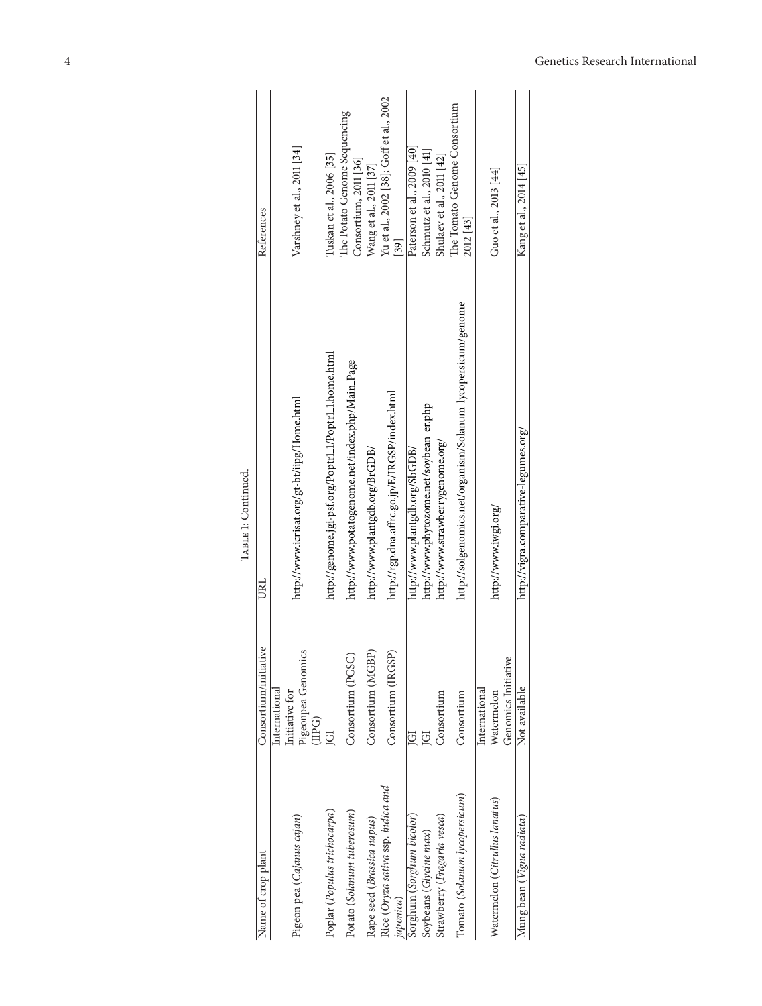|                                                 |                                                                 | TABLE 1: Continued.                                         |                                                            |
|-------------------------------------------------|-----------------------------------------------------------------|-------------------------------------------------------------|------------------------------------------------------------|
| Name of crop plant                              | Consortium/initiative                                           | URL                                                         | References                                                 |
| Pigeon pea (Cajanus cajan)                      | Pigeonpea Genomics<br>International<br>Initiative for<br>(IIPG) | http://www.icrisat.org/gt-bt/iipg/Home.html                 | Varshney et al., 2011 [34]                                 |
| Poplar (Populus trichocarpa)                    | $\Xi$                                                           | http://genome.jgi-psf.org/Poptr1_1/Poptr1_1.home.html       | Tuskan et al., 2006 [35]                                   |
| Potato (Solanum tuberosum)                      | Õ<br>Consortium (PGS                                            | http://www.potatogenome.net/index.php/Main_Page             | The Potato Genome Sequencing<br>Consortium, 2011 [36]      |
| Rape seed (Brassica napus)                      | Consortium (MGBP)                                               | http://www.plantgdb.org/BrGDB/                              | Wang et al., 2011 [37]                                     |
| Rice (Oryza sativa ssp. indica and<br>japonica) | Consortium (IRGSP)                                              | http://rgp.dna.affrc.go.jp/E/IRGSP/index.html               | Yu et al., 2002 [38]; Goff et al., 2002<br>$\overline{39}$ |
| Sorghum (Sorghum bicolor)                       | $\Xi$                                                           | http://www.plantgdb.org/SbGDB/                              | Paterson et al., 2009 [40]                                 |
| Soybeans (Glycine max)                          | $\Xi$                                                           | http://www.phytozome.net/soybean_er.php                     | Schmutz et al., 2010 [41]                                  |
| Strawberry ( <i>Fragaria vesca</i> )            | Consortium                                                      | http://www.strawberrygenome.org/                            | Shulaev et al., 2011 [42]                                  |
| Tomato (Solanum lycopersicum)                   | Consortium                                                      | http://solgenomics.net/organism/Solanum_lycopersicum/genome | The Tomato Genome Consortium<br>2012 [43]                  |
| Watermelon (Citrullus lanatus)                  | Genomics Initiative<br>International<br>Watermelon              | http://www.iwgi.org/                                        | Guo et al., 2013 [44]                                      |
| Mung bean ( <i>Vigna radiata</i> )              | Not available                                                   | http://vigra.comparative-legumes.org/                       | Kang et al., 2014 [45]                                     |
|                                                 |                                                                 |                                                             |                                                            |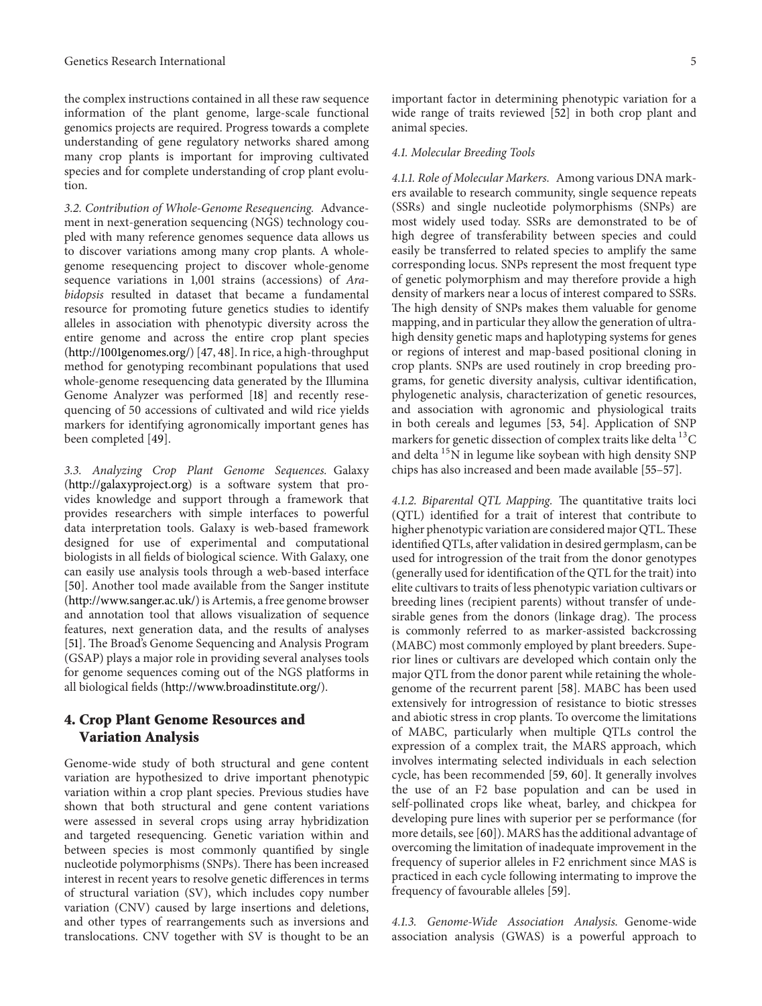the complex instructions contained in all these raw sequence information of the plant genome, large-scale functional genomics projects are required. Progress towards a complete understanding of gene regulatory networks shared among many crop plants is important for improving cultivated species and for complete understanding of crop plant evolution.

*3.2. Contribution of Whole-Genome Resequencing.* Advancement in next-generation sequencing (NGS) technology coupled with many reference genomes sequence data allows us to discover variations among many crop plants. A wholegenome resequencing project to discover whole-genome sequence variations in 1,001 strains (accessions) of *Arabidopsis* resulted in dataset that became a fundamental resource for promoting future genetics studies to identify alleles in association with phenotypic diversity across the entire genome and across the entire crop plant species (http://1001genomes.org/) [47, 48]. In rice, a high-throughput method for genotyping recombinant populations that used whole-genome resequencing data generated by the Illumina Genome Analyzer was performed [18] and recently resequencing of 50 accessions of cultivated and wild rice yields markers for identifying agronomically important genes has been completed [49].

*3.3. Analyzing Crop Plant Genome Sequences.* Galaxy (http://galaxyproject.org) is a software system that provides knowledge and support through a framework that provides researchers with simple interfaces to powerful data interpretation tools. Galaxy is web-based framework designed for use of experimental and computational biologists in all fields of biological science. With Galaxy, one can easily use analysis tools through a web-based interface [50]. Another tool made available from the Sanger institute (http://www.sanger.ac.uk/) is Artemis, a free genome browser and annotation tool that allows visualization of sequence features, next generation data, and the results of analyses [51]. The Broad's Genome Sequencing and Analysis Program (GSAP) plays a major role in providing several analyses tools for genome sequences coming out of the NGS platforms in all biological fields (http://www.broadinstitute.org/).

### **4. Crop Plant Genome Resources and Variation Analysis**

Genome-wide study of both structural and gene content variation are hypothesized to drive important phenotypic variation within a crop plant species. Previous studies have shown that both structural and gene content variations were assessed in several crops using array hybridization and targeted resequencing. Genetic variation within and between species is most commonly quantified by single nucleotide polymorphisms (SNPs). There has been increased interest in recent years to resolve genetic differences in terms of structural variation (SV), which includes copy number variation (CNV) caused by large insertions and deletions, and other types of rearrangements such as inversions and translocations. CNV together with SV is thought to be an

important factor in determining phenotypic variation for a wide range of traits reviewed [52] in both crop plant and animal species.

#### *4.1. Molecular Breeding Tools*

*4.1.1. Role of Molecular Markers.* Among various DNA markers available to research community, single sequence repeats (SSRs) and single nucleotide polymorphisms (SNPs) are most widely used today. SSRs are demonstrated to be of high degree of transferability between species and could easily be transferred to related species to amplify the same corresponding locus. SNPs represent the most frequent type of genetic polymorphism and may therefore provide a high density of markers near a locus of interest compared to SSRs. The high density of SNPs makes them valuable for genome mapping, and in particular they allow the generation of ultrahigh density genetic maps and haplotyping systems for genes or regions of interest and map-based positional cloning in crop plants. SNPs are used routinely in crop breeding programs, for genetic diversity analysis, cultivar identification, phylogenetic analysis, characterization of genetic resources, and association with agronomic and physiological traits in both cereals and legumes [53, 54]. Application of SNP markers for genetic dissection of complex traits like delta  ${}^{13}C$ and delta  $^{15}$ N in legume like soybean with high density SNP chips has also increased and been made available [55–57].

*4.1.2. Biparental QTL Mapping.* The quantitative traits loci (QTL) identified for a trait of interest that contribute to higher phenotypic variation are considered major QTL. These identified QTLs, after validation in desired germplasm, can be used for introgression of the trait from the donor genotypes (generally used for identification of the QTL for the trait) into elite cultivars to traits of less phenotypic variation cultivars or breeding lines (recipient parents) without transfer of undesirable genes from the donors (linkage drag). The process is commonly referred to as marker-assisted backcrossing (MABC) most commonly employed by plant breeders. Superior lines or cultivars are developed which contain only the major QTL from the donor parent while retaining the wholegenome of the recurrent parent [58]. MABC has been used extensively for introgression of resistance to biotic stresses and abiotic stress in crop plants. To overcome the limitations of MABC, particularly when multiple QTLs control the expression of a complex trait, the MARS approach, which involves intermating selected individuals in each selection cycle, has been recommended [59, 60]. It generally involves the use of an F2 base population and can be used in self-pollinated crops like wheat, barley, and chickpea for developing pure lines with superior per se performance (for more details, see [60]). MARS has the additional advantage of overcoming the limitation of inadequate improvement in the frequency of superior alleles in F2 enrichment since MAS is practiced in each cycle following intermating to improve the frequency of favourable alleles [59].

*4.1.3. Genome-Wide Association Analysis.* Genome-wide association analysis (GWAS) is a powerful approach to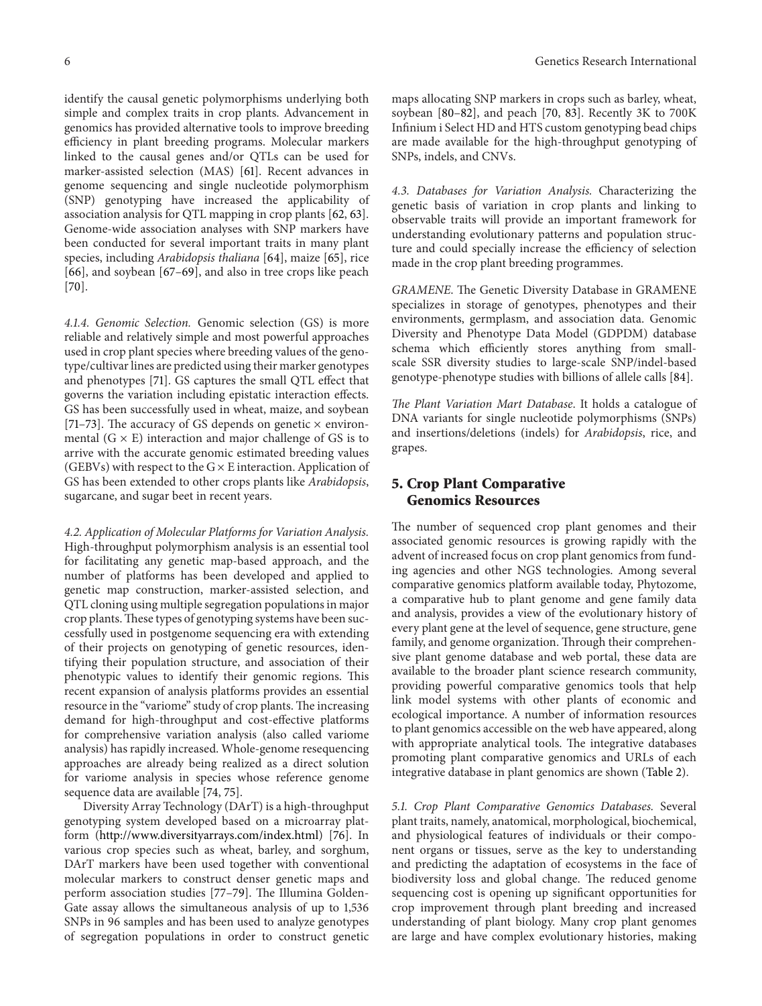identify the causal genetic polymorphisms underlying both simple and complex traits in crop plants. Advancement in genomics has provided alternative tools to improve breeding efficiency in plant breeding programs. Molecular markers linked to the causal genes and/or QTLs can be used for marker-assisted selection (MAS) [61]. Recent advances in genome sequencing and single nucleotide polymorphism (SNP) genotyping have increased the applicability of association analysis for QTL mapping in crop plants [62, 63]. Genome-wide association analyses with SNP markers have been conducted for several important traits in many plant species, including *Arabidopsis thaliana* [64], maize [65], rice [66], and soybean [67–69], and also in tree crops like peach [70].

*4.1.4. Genomic Selection.* Genomic selection (GS) is more reliable and relatively simple and most powerful approaches used in crop plant species where breeding values of the genotype/cultivar lines are predicted using their marker genotypes and phenotypes [71]. GS captures the small QTL effect that governs the variation including epistatic interaction effects. GS has been successfully used in wheat, maize, and soybean [71–73]. The accuracy of GS depends on genetic  $\times$  environmental  $(G \times E)$  interaction and major challenge of GS is to arrive with the accurate genomic estimated breeding values (GEBVs) with respect to the  $G \times E$  interaction. Application of GS has been extended to other crops plants like *Arabidopsis*, sugarcane, and sugar beet in recent years.

*4.2. Application of Molecular Platforms for Variation Analysis.* High-throughput polymorphism analysis is an essential tool for facilitating any genetic map-based approach, and the number of platforms has been developed and applied to genetic map construction, marker-assisted selection, and QTL cloning using multiple segregation populations in major crop plants.These types of genotyping systems have been successfully used in postgenome sequencing era with extending of their projects on genotyping of genetic resources, identifying their population structure, and association of their phenotypic values to identify their genomic regions. This recent expansion of analysis platforms provides an essential resource in the "variome" study of crop plants. The increasing demand for high-throughput and cost-effective platforms for comprehensive variation analysis (also called variome analysis) has rapidly increased. Whole-genome resequencing approaches are already being realized as a direct solution for variome analysis in species whose reference genome sequence data are available [74, 75].

Diversity Array Technology (DArT) is a high-throughput genotyping system developed based on a microarray platform (http://www.diversityarrays.com/index.html) [76]. In various crop species such as wheat, barley, and sorghum, DArT markers have been used together with conventional molecular markers to construct denser genetic maps and perform association studies [77–79]. The Illumina Golden-Gate assay allows the simultaneous analysis of up to 1,536 SNPs in 96 samples and has been used to analyze genotypes of segregation populations in order to construct genetic maps allocating SNP markers in crops such as barley, wheat, soybean [80–82], and peach [70, 83]. Recently 3K to 700K Infinium i Select HD and HTS custom genotyping bead chips are made available for the high-throughput genotyping of SNPs, indels, and CNVs.

*4.3. Databases for Variation Analysis.* Characterizing the genetic basis of variation in crop plants and linking to observable traits will provide an important framework for understanding evolutionary patterns and population structure and could specially increase the efficiency of selection made in the crop plant breeding programmes.

*GRAMENE*. The Genetic Diversity Database in GRAMENE specializes in storage of genotypes, phenotypes and their environments, germplasm, and association data. Genomic Diversity and Phenotype Data Model (GDPDM) database schema which efficiently stores anything from smallscale SSR diversity studies to large-scale SNP/indel-based genotype-phenotype studies with billions of allele calls [84].

*The Plant Variation Mart Database*. It holds a catalogue of DNA variants for single nucleotide polymorphisms (SNPs) and insertions/deletions (indels) for *Arabidopsis*, rice, and grapes.

#### **5. Crop Plant Comparative Genomics Resources**

The number of sequenced crop plant genomes and their associated genomic resources is growing rapidly with the advent of increased focus on crop plant genomics from funding agencies and other NGS technologies. Among several comparative genomics platform available today, Phytozome, a comparative hub to plant genome and gene family data and analysis, provides a view of the evolutionary history of every plant gene at the level of sequence, gene structure, gene family, and genome organization. Through their comprehensive plant genome database and web portal, these data are available to the broader plant science research community, providing powerful comparative genomics tools that help link model systems with other plants of economic and ecological importance. A number of information resources to plant genomics accessible on the web have appeared, along with appropriate analytical tools. The integrative databases promoting plant comparative genomics and URLs of each integrative database in plant genomics are shown (Table 2).

*5.1. Crop Plant Comparative Genomics Databases.* Several plant traits, namely, anatomical, morphological, biochemical, and physiological features of individuals or their component organs or tissues, serve as the key to understanding and predicting the adaptation of ecosystems in the face of biodiversity loss and global change. The reduced genome sequencing cost is opening up significant opportunities for crop improvement through plant breeding and increased understanding of plant biology. Many crop plant genomes are large and have complex evolutionary histories, making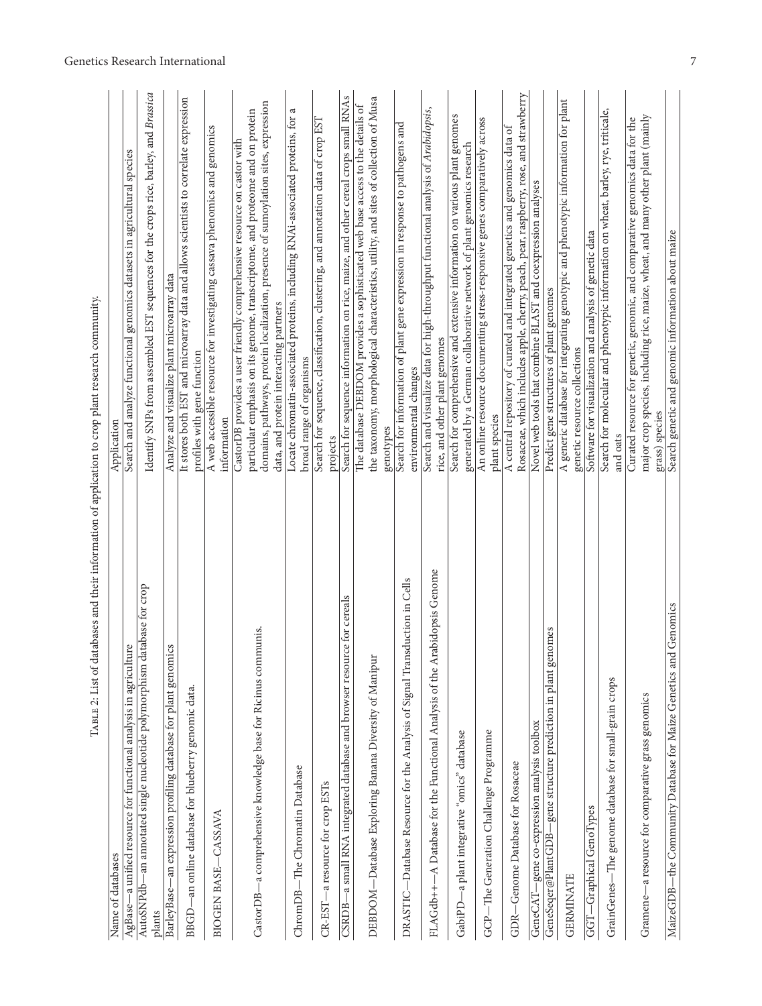|                                                                                   | verget et en distribution and the international or debit to the begin the controller community.                                                                                                                                                                                          |
|-----------------------------------------------------------------------------------|------------------------------------------------------------------------------------------------------------------------------------------------------------------------------------------------------------------------------------------------------------------------------------------|
| Name of databases                                                                 | Application                                                                                                                                                                                                                                                                              |
| AgBase-a unified resource for functional analysis in agriculture                  | Search and analyze functional genomics datasets in agricultural species                                                                                                                                                                                                                  |
| AutoSNPdb-an annotated single nucleotide polymorphism database for crop<br>plants | Identify SNPs from assembled EST sequences for the crops rice, barley, and Brassica                                                                                                                                                                                                      |
| BarleyBase—an expression profiling database for plant genomics                    | Analyze and visualize plant microarray data                                                                                                                                                                                                                                              |
| BBGD-an online database for blueberry genomic data.                               | It stores both EST and microarray data and allows scientists to correlate expression<br>profiles with gene function                                                                                                                                                                      |
| BIOGEN BASE-CASSAVA                                                               | A web accessible resource for investigating cassava phenomics and genomics<br>information                                                                                                                                                                                                |
| CastorDB-a comprehensive knowledge base for Ricinus communis.                     | domains, pathways, protein localization, presence of sumoylation sites, expression<br>particular emphasis on its genome, transcriptome, and proteome and on protein<br>CastorDB provides a user friendly comprehensive resource on castor with<br>data, and protein interacting partners |
| ChromDB-The Chromatin Database                                                    | Locate chromatin-associated proteins, including RNAi-associated proteins, for a<br>broad range of organisms                                                                                                                                                                              |
| CR-EST-a resource for crop ESTs                                                   | Search for sequence, classification, clustering, and annotation data of crop EST<br>projects                                                                                                                                                                                             |
| CSRDB-a small RNA integrated database and browser resource for cereals            | Search for sequence information on rice, maize, and other cereal crops small RNAs                                                                                                                                                                                                        |
| DEBDOM-Database Exploring Banana Diversity of Manipur                             | the taxonomy, morphological characteristics, utility, and sites of collection of Musa<br>The database DEBDOM provides a sophisticated web base access to the details of<br>genotypes                                                                                                     |
| DRASTIC—Database Resource for the Analysis of Signal Transduction in Cells        | Search for information of plant gene expression in response to pathogens and<br>environmental changes                                                                                                                                                                                    |
| A Database for the Functional Analysis of the Arabidopsis Genome<br>FLAGdb++-     | Search and visualize data for high-throughput functional analysis of Arabidopsis,<br>rice, and other plant genomes                                                                                                                                                                       |
| GabiPD-a plant integrative "omics" database                                       | Search for comprehensive and extensive information on various plant genomes<br>generated by a German collaborative network of plant genomics research                                                                                                                                    |
| GCP-The Generation Challenge Programme                                            | An online resource documenting stress-responsive genes comparatively across<br>plant species                                                                                                                                                                                             |
| GDR-Genome Database for Rosaceae                                                  | Rosaceae, which includes apple, cherry, peach, pear, raspberry, rose, and strawberry<br>A central repository of curated and integrated genetics and genomics data of                                                                                                                     |
| GeneCAT-gene co-expression analysis toolbox                                       | Novel web tools that combine BLAST and coexpression analyses                                                                                                                                                                                                                             |
| GeneSeqer@PlantGDB-gene structure prediction in plant genomes                     | Predict gene structures of plant genomes                                                                                                                                                                                                                                                 |
| <b>GERMINATE</b>                                                                  | A generic database for integrating genotypic and phenotypic information for plant<br>genetic resource collections                                                                                                                                                                        |
| GGT-Graphical GenoTypes                                                           | Software for visualization and analysis of genetic data                                                                                                                                                                                                                                  |
| GrainGenes-The genome database for small-grain crops                              | Search for molecular and phenotypic information on wheat, barley, rye, triticale,<br>and oats                                                                                                                                                                                            |
| Gramene-a resource for comparative grass genomics                                 | major crop species, including rice, maize, wheat, and many other plant (mainly<br>Curated resource for genetic, genomic, and comparative genomics data for the                                                                                                                           |
| MaizeGDB-the Community Database for Maize Genetics and Genomics                   | Search genetic and genomic information about maize<br>grass) species                                                                                                                                                                                                                     |
|                                                                                   |                                                                                                                                                                                                                                                                                          |

TABLE 2: List of databases and their information of application to crop plant research community. Table 2: List of databases and their information of application to crop plant research community.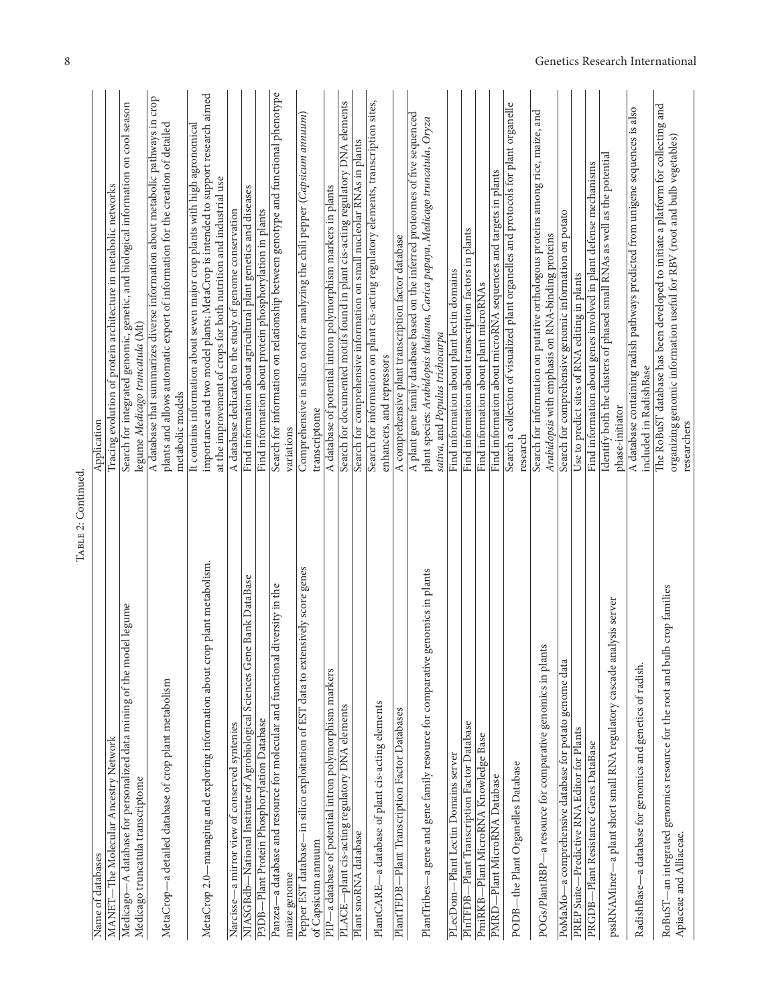|                                                                                                                | TABLE 2. COMMENT                                                                                                                                                                                                                    |
|----------------------------------------------------------------------------------------------------------------|-------------------------------------------------------------------------------------------------------------------------------------------------------------------------------------------------------------------------------------|
| Name of databases                                                                                              | Application                                                                                                                                                                                                                         |
| MANET-The Molecular Ancestry Network                                                                           | Tracing evolution of protein architecture in metabolic networks                                                                                                                                                                     |
| odel legume<br>Medicago—A database for personalized data mining of the mo<br>Medicago truncatula transcriptome | Search for integrated genomic, genetic, and biological information on cool season<br>legume Medicago truncatula (Mt)                                                                                                                |
| MetaCrop-a detailed database of crop plant metabolism                                                          | A database that summarizes diverse information about metabolic pathways in crop<br>plants and allows automatic export of information for the creation of detailed<br>metabolic models                                               |
| op plant metabolism.<br>MetaCrop 2.0—managing and exploring information about cr                               | importance and two model plants; MetaCrop is intended to support research aimed<br>It contains information about seven major crop plants with high agronomical<br>at the improvement of crops for both nutrition and industrial use |
| Narcisse-a mirror view of conserved syntenies                                                                  | A database dedicated to the study of genome conservation                                                                                                                                                                            |
| NIASGBdb-National Institute of Agrobiological Sciences Gene Bank DataBase                                      | Find information about agricultural plant genetics and diseases                                                                                                                                                                     |
| P3DB—Plant Protein Phosphorylation Database                                                                    | Find information about protein phosphorylation in plants                                                                                                                                                                            |
| diversity in the<br>Panzea—a database and resource for molecular and functional<br>maize genome                | Search for information on relationship between genotype and functional phenotype<br>variations                                                                                                                                      |
| Pepper EST database-in silico exploitation of EST data to extensively score genes                              | Comprehensive in silico tool for analyzing the chili pepper (Capsicum annuum)                                                                                                                                                       |
| of Capsicum annuum                                                                                             | transcriptome                                                                                                                                                                                                                       |
| PIP-a database of potential intron polymorphism markers                                                        | A database of potential intron polymorphism markers in plants                                                                                                                                                                       |
| PLACE-plant cis-acting regulatory DNA elements                                                                 | Search for documented motifs found in plant cis-acting regulatory DNA elements                                                                                                                                                      |
| Plant snoRNA database                                                                                          | Search for comprehensive information on small nucleolar RNAs in plants                                                                                                                                                              |
| PlantCARE—a database of plant cis-acting elements                                                              | Search for information on plant cis-acting regulatory elements, transcription sites,<br>enhancers, and repressors                                                                                                                   |
| PlantTFDB-Plant Transcription Factor Databases                                                                 | A comprehensive plant transcription factor database                                                                                                                                                                                 |
| genomics in plants<br>PlantTribes-a gene and gene family resource for comparative                              | A plant gene family database based on the inferred proteomes of five sequenced<br>plant species: Arabidopsis thaliana, Carica papaya, Medicago truncatula, Oryza<br>sativa, and Populus trichocarpa                                 |
| PLecDom-Plant Lectin Domains server                                                                            | Find information about plant lectin domains                                                                                                                                                                                         |
| PInTFDB-Plant Transcription Factor Database                                                                    | Find information about transcription factors in plants                                                                                                                                                                              |
| Plant MicroRNA Knowledge Base<br>PmiRKB-                                                                       | Find information about plant microRNAs                                                                                                                                                                                              |
| PMRD—Plant MicroRNA Database                                                                                   | Find information about microRNA sequences and targets in plants                                                                                                                                                                     |
| PODB-the Plant Organelles Database                                                                             | Search a collection of visualized plant organelles and protocols for plant organelle<br>research                                                                                                                                    |
| POGs/PlantRBP—a resource for comparative genomics in plants                                                    | Search for information on putative orthologous proteins among rice, maize, and<br>Arabidopsis with emphasis on RNA-binding proteins                                                                                                 |
| PoMaMo-a comprehensive database for potato genome data                                                         | Search for comprehensive genomic information on potato                                                                                                                                                                              |
| PREP Suite—Predictive RNA Editor for Plants                                                                    | Use to predict sites of RNA editing in plants                                                                                                                                                                                       |
| PRGDB-Plant Resistance Genes DataBase                                                                          | Find information about genes involved in plant defense mechanisms                                                                                                                                                                   |
| pssRNAMiner—a plant short small RNA regulatory cascade analysis server                                         | Identify both the clusters of phased small RNAs as well as the potential<br>phase-initiator                                                                                                                                         |
| RadishBase-a database for genomics and genetics of radish.                                                     | A database containing radish pathways predicted from unigene sequences is also<br>included in RadishBase                                                                                                                            |
| RoBuST-an integrated genomics resource for the root and bulb crop families<br>Apiaceae and Alliaceae.          | The ROBuST database has been developed to initiate a platform for collecting and<br>organizing genomic information useful for RBV (root and bulb vegetables)<br>researchers                                                         |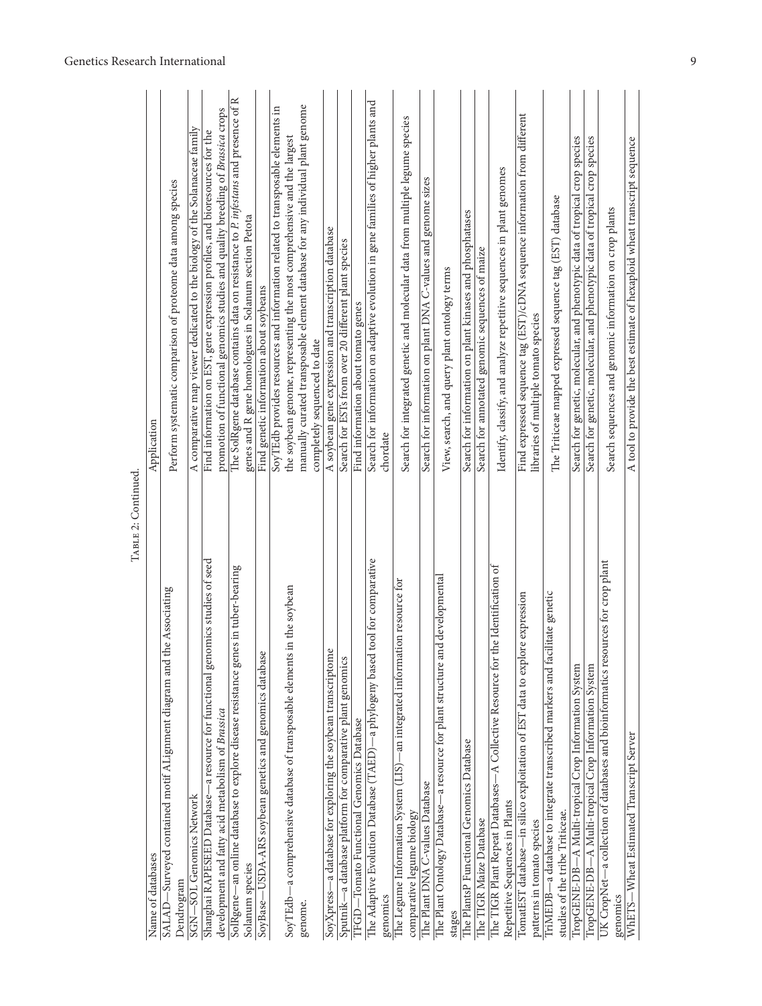| TABLE 2: Continued                                                                                                                 |                                                                                                                                                                |
|------------------------------------------------------------------------------------------------------------------------------------|----------------------------------------------------------------------------------------------------------------------------------------------------------------|
| Name of databases                                                                                                                  | Application                                                                                                                                                    |
| he Associating<br>SALAD—Surveyed contained motif ALignment diagram and th<br>Dendrogram                                            | Perform systematic comparison of proteome data among species                                                                                                   |
| SGN-SOL Genomics Network                                                                                                           | A comparative map viewer dedicated to the biology of the Solanaceae family                                                                                     |
| Shanghai RAPESEED Database—a resource for functional genomics studies of seed<br>development and fatty acid metabolism of Brassica | promotion of functional genomics studies and quality breeding of Brassica crops<br>Find information on EST, gene expression profiles, and bioresources for the |
| SolRgene—an online database to explore disease resistance genes in tuber-bearing                                                   | The SolRgene database contains data on resistance to P. infestans and presence of R                                                                            |
| Solanum species                                                                                                                    | genes and R gene homologues in Solanum section Petota                                                                                                          |
| SoyBase—USDA-ARS soybean genetics and genomics database                                                                            | Find genetic information about soybeans                                                                                                                        |
|                                                                                                                                    | SoyTEdb provides resources and information related to transposable elements in                                                                                 |
| in the soybean<br>SoyTEdb-a comprehensive database of transposable elements<br>genome.                                             | manually curated transposable element database for any individual plant genome<br>the soybean genome, representing the most comprehensive and the largest      |
|                                                                                                                                    | completely sequenced to date                                                                                                                                   |
| SoyXpress—a database for exploring the soybean transcriptome                                                                       | A soybean gene expression and transcription database                                                                                                           |
| Sputnik-a database platform for comparative plant genomics                                                                         | Search for ESTs from over 20 different plant species                                                                                                           |
| TFGD-Tomato Functional Genomics Database                                                                                           | Find information about tomato genes                                                                                                                            |
| tool for comparative<br>The Adaptive Evolution Database (TAED)-a phylogeny based                                                   | Search for information on adaptive evolution in gene families of higher plants and                                                                             |
| genomics                                                                                                                           | chordate                                                                                                                                                       |
| The Legume Information System (LIS)—an integrated information resource for<br>comparative legume biology                           | Search for integrated genetic and molecular data from multiple legume species                                                                                  |
| The Plant DNA C-values Database                                                                                                    | Search for information on plant DNA C-values and genome sizes                                                                                                  |
| The Plant Ontology Database—a resource for plant structure and developmental<br>stages                                             | View, search, and query plant ontology terms                                                                                                                   |
| The PlantsP Functional Genomics Database                                                                                           | Search for information on plant kinases and phosphatases                                                                                                       |
| The TIGR Maize Database                                                                                                            | Search for annotated genomic sequences of maize                                                                                                                |
| The TIGR Plant Repeat Databases-A Collective Resource for the Identification of<br>Repetitive Sequences in Plants                  | Identify, classify, and analyze repetitive sequences in plant genomes                                                                                          |
| TomatEST database-in silico exploitation of EST data to explore expression                                                         | Find expressed sequence tag (EST)/cDNA sequence information from different                                                                                     |
| patterns in tomato species                                                                                                         | libraries of multiple tomato species                                                                                                                           |
| TriMEDB-a database to integrate transcribed markers and facilitate genetic<br>studies of the tribe Triticeae.                      | The Triticeae mapped expressed sequence tag (EST) database                                                                                                     |
| TropGENE-DB-A Multi-tropical Crop Information System                                                                               | Search for genetic, molecular, and phenotypic data of tropical crop species                                                                                    |
| TropGENE-DB-A Multi-tropical Crop Information System                                                                               | Search for genetic, molecular, and phenotypic data of tropical crop species                                                                                    |
| UK CropNet-a collection of databases and bioinformatics resources for crop plant<br>genomics                                       | Search sequences and genomic information on crop plants                                                                                                        |
| WhETS-Wheat Estimated Transcript Server                                                                                            | A tool to provide the best estimate of hexaploid wheat transcript sequence                                                                                     |
|                                                                                                                                    |                                                                                                                                                                |

#### Genetics Research International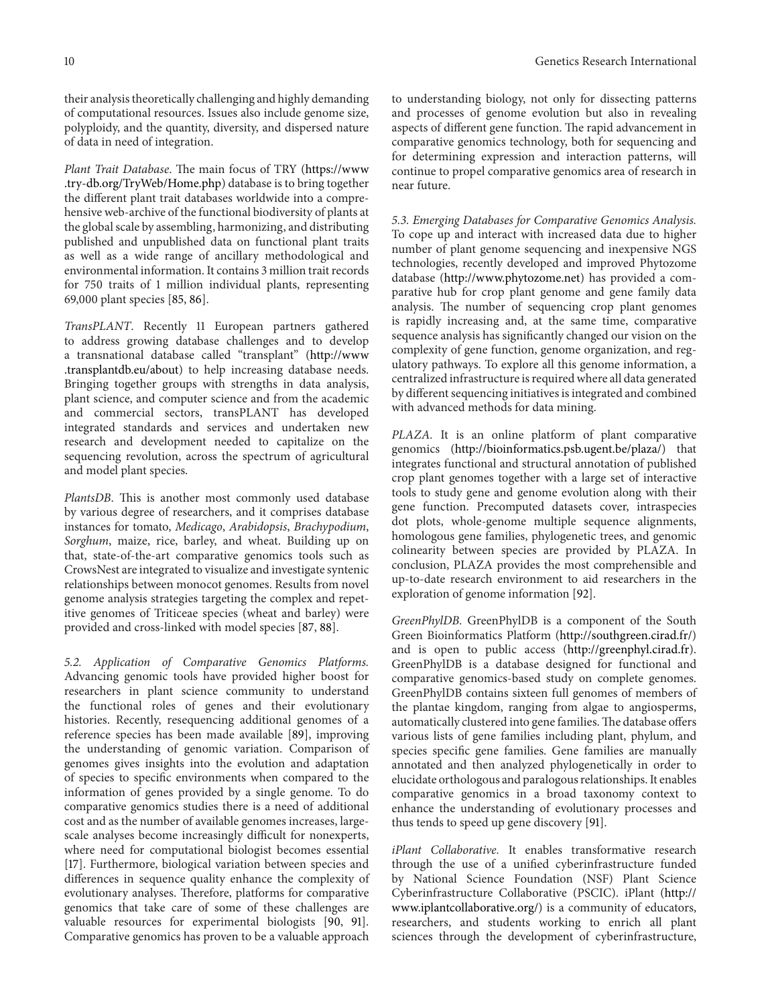their analysis theoretically challenging and highly demanding of computational resources. Issues also include genome size, polyploidy, and the quantity, diversity, and dispersed nature of data in need of integration.

*Plant Trait Database*. The main focus of TRY (https://www .try-db.org/TryWeb/Home.php) database is to bring together the different plant trait databases worldwide into a comprehensive web-archive of the functional biodiversity of plants at the global scale by assembling, harmonizing, and distributing published and unpublished data on functional plant traits as well as a wide range of ancillary methodological and environmental information. It contains 3 million trait records for 750 traits of 1 million individual plants, representing 69,000 plant species [85, 86].

*TransPLANT*. Recently 11 European partners gathered to address growing database challenges and to develop a transnational database called "transplant" (http://www .transplantdb.eu/about) to help increasing database needs. Bringing together groups with strengths in data analysis, plant science, and computer science and from the academic and commercial sectors, transPLANT has developed integrated standards and services and undertaken new research and development needed to capitalize on the sequencing revolution, across the spectrum of agricultural and model plant species.

*PlantsDB*. This is another most commonly used database by various degree of researchers, and it comprises database instances for tomato, *Medicago*, *Arabidopsis*, *Brachypodium*, *Sorghum*, maize, rice, barley, and wheat. Building up on that, state-of-the-art comparative genomics tools such as CrowsNest are integrated to visualize and investigate syntenic relationships between monocot genomes. Results from novel genome analysis strategies targeting the complex and repetitive genomes of Triticeae species (wheat and barley) were provided and cross-linked with model species [87, 88].

*5.2. Application of Comparative Genomics Platforms.* Advancing genomic tools have provided higher boost for researchers in plant science community to understand the functional roles of genes and their evolutionary histories. Recently, resequencing additional genomes of a reference species has been made available [89], improving the understanding of genomic variation. Comparison of genomes gives insights into the evolution and adaptation of species to specific environments when compared to the information of genes provided by a single genome. To do comparative genomics studies there is a need of additional cost and as the number of available genomes increases, largescale analyses become increasingly difficult for nonexperts, where need for computational biologist becomes essential [17]. Furthermore, biological variation between species and differences in sequence quality enhance the complexity of evolutionary analyses. Therefore, platforms for comparative genomics that take care of some of these challenges are valuable resources for experimental biologists [90, 91]. Comparative genomics has proven to be a valuable approach

to understanding biology, not only for dissecting patterns and processes of genome evolution but also in revealing aspects of different gene function. The rapid advancement in comparative genomics technology, both for sequencing and for determining expression and interaction patterns, will continue to propel comparative genomics area of research in near future.

*5.3. Emerging Databases for Comparative Genomics Analysis.* To cope up and interact with increased data due to higher number of plant genome sequencing and inexpensive NGS technologies, recently developed and improved Phytozome database (http://www.phytozome.net) has provided a comparative hub for crop plant genome and gene family data analysis. The number of sequencing crop plant genomes is rapidly increasing and, at the same time, comparative sequence analysis has significantly changed our vision on the complexity of gene function, genome organization, and regulatory pathways. To explore all this genome information, a centralized infrastructure is required where all data generated by different sequencing initiatives is integrated and combined with advanced methods for data mining.

*PLAZA.* It is an online platform of plant comparative genomics (http://bioinformatics.psb.ugent.be/plaza/) that integrates functional and structural annotation of published crop plant genomes together with a large set of interactive tools to study gene and genome evolution along with their gene function. Precomputed datasets cover, intraspecies dot plots, whole-genome multiple sequence alignments, homologous gene families, phylogenetic trees, and genomic colinearity between species are provided by PLAZA. In conclusion, PLAZA provides the most comprehensible and up-to-date research environment to aid researchers in the exploration of genome information [92].

*GreenPhylDB*. GreenPhylDB is a component of the South Green Bioinformatics Platform (http://southgreen.cirad.fr/) and is open to public access (http://greenphyl.cirad.fr). GreenPhylDB is a database designed for functional and comparative genomics-based study on complete genomes. GreenPhylDB contains sixteen full genomes of members of the plantae kingdom, ranging from algae to angiosperms, automatically clustered into gene families.The database offers various lists of gene families including plant, phylum, and species specific gene families. Gene families are manually annotated and then analyzed phylogenetically in order to elucidate orthologous and paralogous relationships. It enables comparative genomics in a broad taxonomy context to enhance the understanding of evolutionary processes and thus tends to speed up gene discovery [91].

*iPlant Collaborative.* It enables transformative research through the use of a unified cyberinfrastructure funded by National Science Foundation (NSF) Plant Science Cyberinfrastructure Collaborative (PSCIC). iPlant (http:// www.iplantcollaborative.org/) is a community of educators, researchers, and students working to enrich all plant sciences through the development of cyberinfrastructure,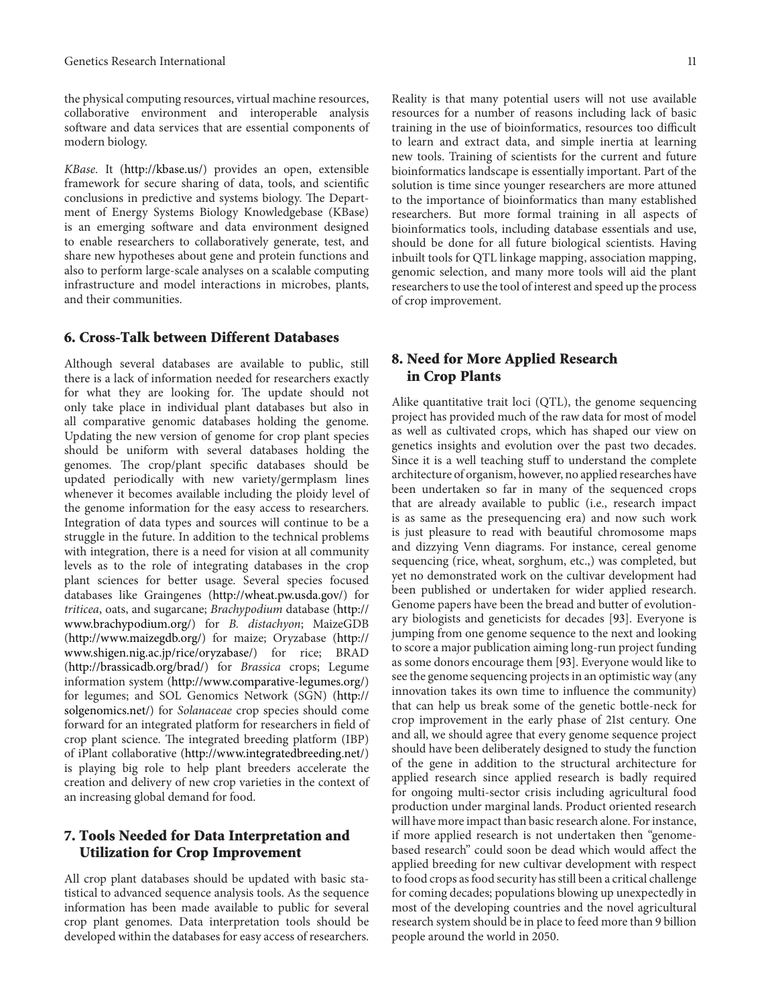the physical computing resources, virtual machine resources, collaborative environment and interoperable analysis software and data services that are essential components of modern biology.

*KBase.* It (http://kbase.us/) provides an open, extensible framework for secure sharing of data, tools, and scientific conclusions in predictive and systems biology. The Department of Energy Systems Biology Knowledgebase (KBase) is an emerging software and data environment designed to enable researchers to collaboratively generate, test, and share new hypotheses about gene and protein functions and also to perform large-scale analyses on a scalable computing infrastructure and model interactions in microbes, plants, and their communities.

#### **6. Cross-Talk between Different Databases**

Although several databases are available to public, still there is a lack of information needed for researchers exactly for what they are looking for. The update should not only take place in individual plant databases but also in all comparative genomic databases holding the genome. Updating the new version of genome for crop plant species should be uniform with several databases holding the genomes. The crop/plant specific databases should be updated periodically with new variety/germplasm lines whenever it becomes available including the ploidy level of the genome information for the easy access to researchers. Integration of data types and sources will continue to be a struggle in the future. In addition to the technical problems with integration, there is a need for vision at all community levels as to the role of integrating databases in the crop plant sciences for better usage. Several species focused databases like Graingenes (http://wheat.pw.usda.gov/) for *triticea*, oats, and sugarcane; *Brachypodium* database (http:// www.brachypodium.org/) for *B. distachyon*; MaizeGDB (http://www.maizegdb.org/) for maize; Oryzabase (http:// www.shigen.nig.ac.jp/rice/oryzabase/) for rice; BRAD (http://brassicadb.org/brad/) for *Brassica* crops; Legume information system (http://www.comparative-legumes.org/) for legumes; and SOL Genomics Network (SGN) (http:// solgenomics.net/) for *Solanaceae* crop species should come forward for an integrated platform for researchers in field of crop plant science. The integrated breeding platform (IBP) of iPlant collaborative (http://www.integratedbreeding.net/) is playing big role to help plant breeders accelerate the creation and delivery of new crop varieties in the context of an increasing global demand for food.

#### **7. Tools Needed for Data Interpretation and Utilization for Crop Improvement**

All crop plant databases should be updated with basic statistical to advanced sequence analysis tools. As the sequence information has been made available to public for several crop plant genomes. Data interpretation tools should be developed within the databases for easy access of researchers.

Reality is that many potential users will not use available resources for a number of reasons including lack of basic training in the use of bioinformatics, resources too difficult to learn and extract data, and simple inertia at learning new tools. Training of scientists for the current and future bioinformatics landscape is essentially important. Part of the solution is time since younger researchers are more attuned to the importance of bioinformatics than many established researchers. But more formal training in all aspects of bioinformatics tools, including database essentials and use, should be done for all future biological scientists. Having inbuilt tools for QTL linkage mapping, association mapping, genomic selection, and many more tools will aid the plant researchers to use the tool of interest and speed up the process of crop improvement.

#### **8. Need for More Applied Research in Crop Plants**

Alike quantitative trait loci (QTL), the genome sequencing project has provided much of the raw data for most of model as well as cultivated crops, which has shaped our view on genetics insights and evolution over the past two decades. Since it is a well teaching stuff to understand the complete architecture of organism, however, no applied researches have been undertaken so far in many of the sequenced crops that are already available to public (i.e., research impact is as same as the presequencing era) and now such work is just pleasure to read with beautiful chromosome maps and dizzying Venn diagrams. For instance, cereal genome sequencing (rice, wheat, sorghum, etc.,) was completed, but yet no demonstrated work on the cultivar development had been published or undertaken for wider applied research. Genome papers have been the bread and butter of evolutionary biologists and geneticists for decades [93]. Everyone is jumping from one genome sequence to the next and looking to score a major publication aiming long-run project funding as some donors encourage them [93]. Everyone would like to see the genome sequencing projects in an optimistic way (any innovation takes its own time to influence the community) that can help us break some of the genetic bottle-neck for crop improvement in the early phase of 21st century. One and all, we should agree that every genome sequence project should have been deliberately designed to study the function of the gene in addition to the structural architecture for applied research since applied research is badly required for ongoing multi-sector crisis including agricultural food production under marginal lands. Product oriented research will have more impact than basic research alone. For instance, if more applied research is not undertaken then "genomebased research" could soon be dead which would affect the applied breeding for new cultivar development with respect to food crops as food security has still been a critical challenge for coming decades; populations blowing up unexpectedly in most of the developing countries and the novel agricultural research system should be in place to feed more than 9 billion people around the world in 2050.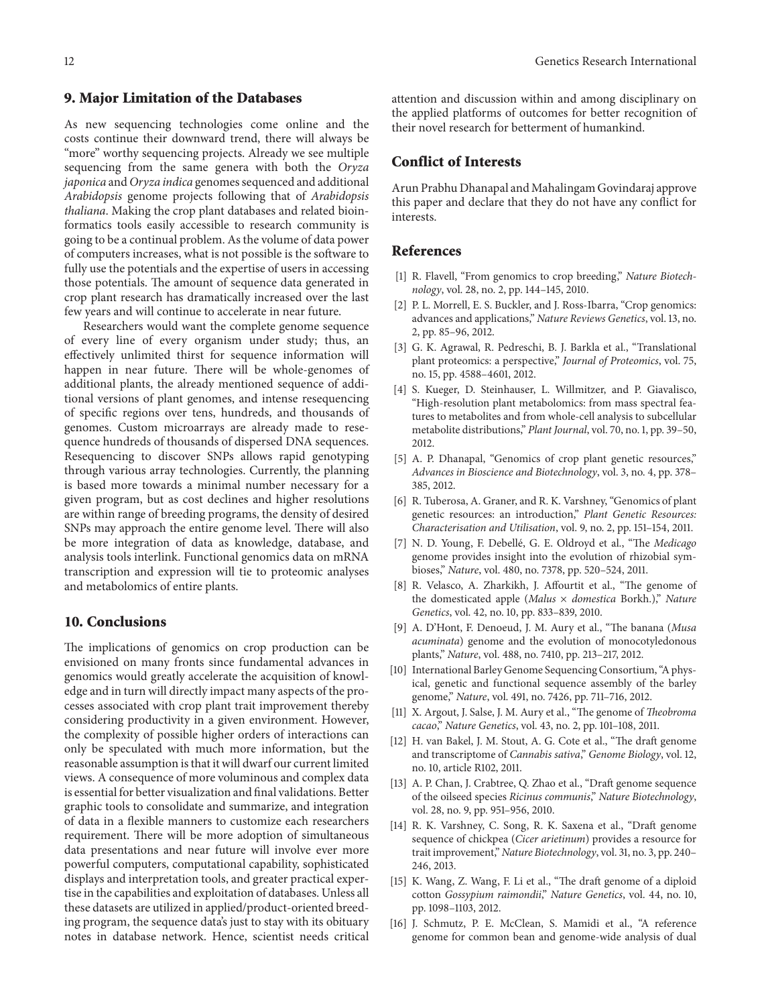#### **9. Major Limitation of the Databases**

As new sequencing technologies come online and the costs continue their downward trend, there will always be "more" worthy sequencing projects. Already we see multiple sequencing from the same genera with both the *Oryza japonica* and *Oryza indica* genomes sequenced and additional *Arabidopsis* genome projects following that of *Arabidopsis thaliana*. Making the crop plant databases and related bioinformatics tools easily accessible to research community is going to be a continual problem. As the volume of data power of computers increases, what is not possible is the software to fully use the potentials and the expertise of users in accessing those potentials. The amount of sequence data generated in crop plant research has dramatically increased over the last few years and will continue to accelerate in near future.

Researchers would want the complete genome sequence of every line of every organism under study; thus, an effectively unlimited thirst for sequence information will happen in near future. There will be whole-genomes of additional plants, the already mentioned sequence of additional versions of plant genomes, and intense resequencing of specific regions over tens, hundreds, and thousands of genomes. Custom microarrays are already made to resequence hundreds of thousands of dispersed DNA sequences. Resequencing to discover SNPs allows rapid genotyping through various array technologies. Currently, the planning is based more towards a minimal number necessary for a given program, but as cost declines and higher resolutions are within range of breeding programs, the density of desired SNPs may approach the entire genome level. There will also be more integration of data as knowledge, database, and analysis tools interlink. Functional genomics data on mRNA transcription and expression will tie to proteomic analyses and metabolomics of entire plants.

#### **10. Conclusions**

The implications of genomics on crop production can be envisioned on many fronts since fundamental advances in genomics would greatly accelerate the acquisition of knowledge and in turn will directly impact many aspects of the processes associated with crop plant trait improvement thereby considering productivity in a given environment. However, the complexity of possible higher orders of interactions can only be speculated with much more information, but the reasonable assumption is that it will dwarf our current limited views. A consequence of more voluminous and complex data is essential for better visualization and final validations. Better graphic tools to consolidate and summarize, and integration of data in a flexible manners to customize each researchers requirement. There will be more adoption of simultaneous data presentations and near future will involve ever more powerful computers, computational capability, sophisticated displays and interpretation tools, and greater practical expertise in the capabilities and exploitation of databases. Unless all these datasets are utilized in applied/product-oriented breeding program, the sequence data's just to stay with its obituary notes in database network. Hence, scientist needs critical

attention and discussion within and among disciplinary on the applied platforms of outcomes for better recognition of their novel research for betterment of humankind.

#### **Conflict of Interests**

Arun Prabhu Dhanapal and Mahalingam Govindaraj approve this paper and declare that they do not have any conflict for interests.

#### **References**

- [1] R. Flavell, "From genomics to crop breeding," *Nature Biotechnology*, vol. 28, no. 2, pp. 144–145, 2010.
- [2] P. L. Morrell, E. S. Buckler, and J. Ross-Ibarra, "Crop genomics: advances and applications," *Nature Reviews Genetics*, vol. 13, no. 2, pp. 85–96, 2012.
- [3] G. K. Agrawal, R. Pedreschi, B. J. Barkla et al., "Translational plant proteomics: a perspective," *Journal of Proteomics*, vol. 75, no. 15, pp. 4588–4601, 2012.
- [4] S. Kueger, D. Steinhauser, L. Willmitzer, and P. Giavalisco, "High-resolution plant metabolomics: from mass spectral features to metabolites and from whole-cell analysis to subcellular metabolite distributions," *Plant Journal*, vol. 70, no. 1, pp. 39–50, 2012.
- [5] A. P. Dhanapal, "Genomics of crop plant genetic resources," *Advances in Bioscience and Biotechnology*, vol. 3, no. 4, pp. 378– 385, 2012.
- [6] R. Tuberosa, A. Graner, and R. K. Varshney, "Genomics of plant genetic resources: an introduction," *Plant Genetic Resources: Characterisation and Utilisation*, vol. 9, no. 2, pp. 151–154, 2011.
- [7] N. D. Young, F. Debellé, G. E. Oldroyd et al., "The *Medicago* genome provides insight into the evolution of rhizobial symbioses," *Nature*, vol. 480, no. 7378, pp. 520–524, 2011.
- [8] R. Velasco, A. Zharkikh, J. Affourtit et al., "The genome of the domesticated apple (*Malus* × *domestica* Borkh.)," *Nature Genetics*, vol. 42, no. 10, pp. 833–839, 2010.
- [9] A. D'Hont, F. Denoeud, J. M. Aury et al., "The banana (*Musa acuminata*) genome and the evolution of monocotyledonous plants," *Nature*, vol. 488, no. 7410, pp. 213–217, 2012.
- [10] International Barley Genome Sequencing Consortium, "A physical, genetic and functional sequence assembly of the barley genome," *Nature*, vol. 491, no. 7426, pp. 711–716, 2012.
- [11] X. Argout, J. Salse, J. M. Aury et al., "The genome of *Theobroma cacao*," *Nature Genetics*, vol. 43, no. 2, pp. 101–108, 2011.
- [12] H. van Bakel, J. M. Stout, A. G. Cote et al., "The draft genome and transcriptome of *Cannabis sativa*," *Genome Biology*, vol. 12, no. 10, article R102, 2011.
- [13] A. P. Chan, J. Crabtree, Q. Zhao et al., "Draft genome sequence of the oilseed species *Ricinus communis*," *Nature Biotechnology*, vol. 28, no. 9, pp. 951–956, 2010.
- [14] R. K. Varshney, C. Song, R. K. Saxena et al., "Draft genome sequence of chickpea (*Cicer arietinum*) provides a resource for trait improvement," *Nature Biotechnology*, vol. 31, no. 3, pp. 240– 246, 2013.
- [15] K. Wang, Z. Wang, F. Li et al., "The draft genome of a diploid cotton *Gossypium raimondii*," *Nature Genetics*, vol. 44, no. 10, pp. 1098–1103, 2012.
- [16] J. Schmutz, P. E. McClean, S. Mamidi et al., "A reference genome for common bean and genome-wide analysis of dual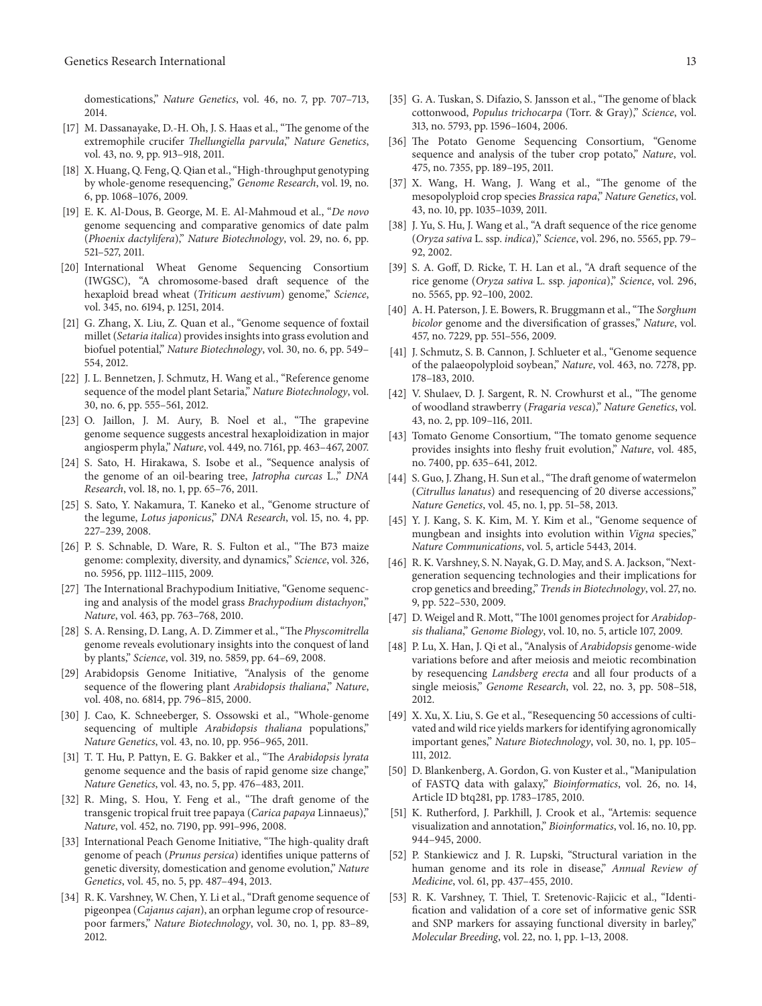domestications," *Nature Genetics*, vol. 46, no. 7, pp. 707–713, 2014.

- [17] M. Dassanayake, D.-H. Oh, J. S. Haas et al., "The genome of the extremophile crucifer *Thellungiella parvula*," *Nature Genetics*, vol. 43, no. 9, pp. 913–918, 2011.
- [18] X. Huang, Q. Feng, Q. Qian et al., "High-throughput genotyping by whole-genome resequencing," *Genome Research*, vol. 19, no. 6, pp. 1068–1076, 2009.
- [19] E. K. Al-Dous, B. George, M. E. Al-Mahmoud et al., "*De novo* genome sequencing and comparative genomics of date palm (*Phoenix dactylifera*)," *Nature Biotechnology*, vol. 29, no. 6, pp. 521–527, 2011.
- [20] International Wheat Genome Sequencing Consortium (IWGSC), "A chromosome-based draft sequence of the hexaploid bread wheat (*Triticum aestivum*) genome," *Science*, vol. 345, no. 6194, p. 1251, 2014.
- [21] G. Zhang, X. Liu, Z. Quan et al., "Genome sequence of foxtail millet (*Setaria italica*) provides insights into grass evolution and biofuel potential," *Nature Biotechnology*, vol. 30, no. 6, pp. 549– 554, 2012.
- [22] J. L. Bennetzen, J. Schmutz, H. Wang et al., "Reference genome sequence of the model plant Setaria," *Nature Biotechnology*, vol. 30, no. 6, pp. 555–561, 2012.
- [23] O. Jaillon, J. M. Aury, B. Noel et al., "The grapevine genome sequence suggests ancestral hexaploidization in major angiosperm phyla," *Nature*, vol. 449, no. 7161, pp. 463–467, 2007.
- [24] S. Sato, H. Hirakawa, S. Isobe et al., "Sequence analysis of the genome of an oil-bearing tree, *Jatropha curcas* L.," *DNA Research*, vol. 18, no. 1, pp. 65–76, 2011.
- [25] S. Sato, Y. Nakamura, T. Kaneko et al., "Genome structure of the legume, *Lotus japonicus*," *DNA Research*, vol. 15, no. 4, pp. 227–239, 2008.
- [26] P. S. Schnable, D. Ware, R. S. Fulton et al., "The B73 maize genome: complexity, diversity, and dynamics," *Science*, vol. 326, no. 5956, pp. 1112–1115, 2009.
- [27] The International Brachypodium Initiative, "Genome sequencing and analysis of the model grass *Brachypodium distachyon*," *Nature*, vol. 463, pp. 763–768, 2010.
- [28] S. A. Rensing, D. Lang, A. D. Zimmer et al., "The *Physcomitrella* genome reveals evolutionary insights into the conquest of land by plants," *Science*, vol. 319, no. 5859, pp. 64–69, 2008.
- [29] Arabidopsis Genome Initiative, "Analysis of the genome sequence of the flowering plant *Arabidopsis thaliana*," *Nature*, vol. 408, no. 6814, pp. 796–815, 2000.
- [30] J. Cao, K. Schneeberger, S. Ossowski et al., "Whole-genome sequencing of multiple *Arabidopsis thaliana* populations," *Nature Genetics*, vol. 43, no. 10, pp. 956–965, 2011.
- [31] T. T. Hu, P. Pattyn, E. G. Bakker et al., "The *Arabidopsis lyrata* genome sequence and the basis of rapid genome size change," *Nature Genetics*, vol. 43, no. 5, pp. 476–483, 2011.
- [32] R. Ming, S. Hou, Y. Feng et al., "The draft genome of the transgenic tropical fruit tree papaya (*Carica papaya* Linnaeus)," *Nature*, vol. 452, no. 7190, pp. 991–996, 2008.
- [33] International Peach Genome Initiative, "The high-quality draft" genome of peach (*Prunus persica*) identifies unique patterns of genetic diversity, domestication and genome evolution," *Nature Genetics*, vol. 45, no. 5, pp. 487–494, 2013.
- [34] R. K. Varshney, W. Chen, Y. Li et al., "Draft genome sequence of pigeonpea (*Cajanus cajan*), an orphan legume crop of resourcepoor farmers," *Nature Biotechnology*, vol. 30, no. 1, pp. 83–89, 2012.
- [35] G. A. Tuskan, S. Difazio, S. Jansson et al., "The genome of black cottonwood, *Populus trichocarpa* (Torr. & Gray)," *Science*, vol. 313, no. 5793, pp. 1596–1604, 2006.
- [36] The Potato Genome Sequencing Consortium, "Genome sequence and analysis of the tuber crop potato," *Nature*, vol. 475, no. 7355, pp. 189–195, 2011.
- [37] X. Wang, H. Wang, J. Wang et al., "The genome of the mesopolyploid crop species *Brassica rapa*," *Nature Genetics*, vol. 43, no. 10, pp. 1035–1039, 2011.
- [38] J. Yu, S. Hu, J. Wang et al., "A draft sequence of the rice genome (*Oryza sativa* L. ssp. *indica*)," *Science*, vol. 296, no. 5565, pp. 79– 92, 2002.
- [39] S. A. Goff, D. Ricke, T. H. Lan et al., "A draft sequence of the rice genome (*Oryza sativa* L. ssp. *japonica*)," *Science*, vol. 296, no. 5565, pp. 92–100, 2002.
- [40] A. H. Paterson, J. E. Bowers, R. Bruggmann et al., "The *Sorghum bicolor* genome and the diversification of grasses," *Nature*, vol. 457, no. 7229, pp. 551–556, 2009.
- [41] J. Schmutz, S. B. Cannon, J. Schlueter et al., "Genome sequence" of the palaeopolyploid soybean," *Nature*, vol. 463, no. 7278, pp. 178–183, 2010.
- [42] V. Shulaev, D. J. Sargent, R. N. Crowhurst et al., "The genome of woodland strawberry (*Fragaria vesca*)," *Nature Genetics*, vol. 43, no. 2, pp. 109–116, 2011.
- [43] Tomato Genome Consortium, "The tomato genome sequence provides insights into fleshy fruit evolution," *Nature*, vol. 485, no. 7400, pp. 635–641, 2012.
- [44] S. Guo, J. Zhang, H. Sun et al., "The draft genome of watermelon (*Citrullus lanatus*) and resequencing of 20 diverse accessions," *Nature Genetics*, vol. 45, no. 1, pp. 51–58, 2013.
- [45] Y. J. Kang, S. K. Kim, M. Y. Kim et al., "Genome sequence of mungbean and insights into evolution within *Vigna* species," *Nature Communications*, vol. 5, article 5443, 2014.
- [46] R. K. Varshney, S. N. Nayak, G. D. May, and S. A. Jackson, "Nextgeneration sequencing technologies and their implications for crop genetics and breeding," *Trends in Biotechnology*, vol. 27, no. 9, pp. 522–530, 2009.
- [47] D. Weigel and R. Mott, "The 1001 genomes project for *Arabidopsis thaliana*," *Genome Biology*, vol. 10, no. 5, article 107, 2009.
- [48] P. Lu, X. Han, J. Qi et al., "Analysis of *Arabidopsis* genome-wide variations before and after meiosis and meiotic recombination by resequencing *Landsberg erecta* and all four products of a single meiosis," *Genome Research*, vol. 22, no. 3, pp. 508–518, 2012.
- [49] X. Xu, X. Liu, S. Ge et al., "Resequencing 50 accessions of cultivated and wild rice yields markers for identifying agronomically important genes," *Nature Biotechnology*, vol. 30, no. 1, pp. 105– 111, 2012.
- [50] D. Blankenberg, A. Gordon, G. von Kuster et al., "Manipulation of FASTQ data with galaxy," *Bioinformatics*, vol. 26, no. 14, Article ID btq281, pp. 1783–1785, 2010.
- [51] K. Rutherford, J. Parkhill, J. Crook et al., "Artemis: sequence visualization and annotation," *Bioinformatics*, vol. 16, no. 10, pp. 944–945, 2000.
- [52] P. Stankiewicz and J. R. Lupski, "Structural variation in the human genome and its role in disease," *Annual Review of Medicine*, vol. 61, pp. 437–455, 2010.
- [53] R. K. Varshney, T. Thiel, T. Sretenovic-Rajicic et al., "Identification and validation of a core set of informative genic SSR and SNP markers for assaying functional diversity in barley," *Molecular Breeding*, vol. 22, no. 1, pp. 1–13, 2008.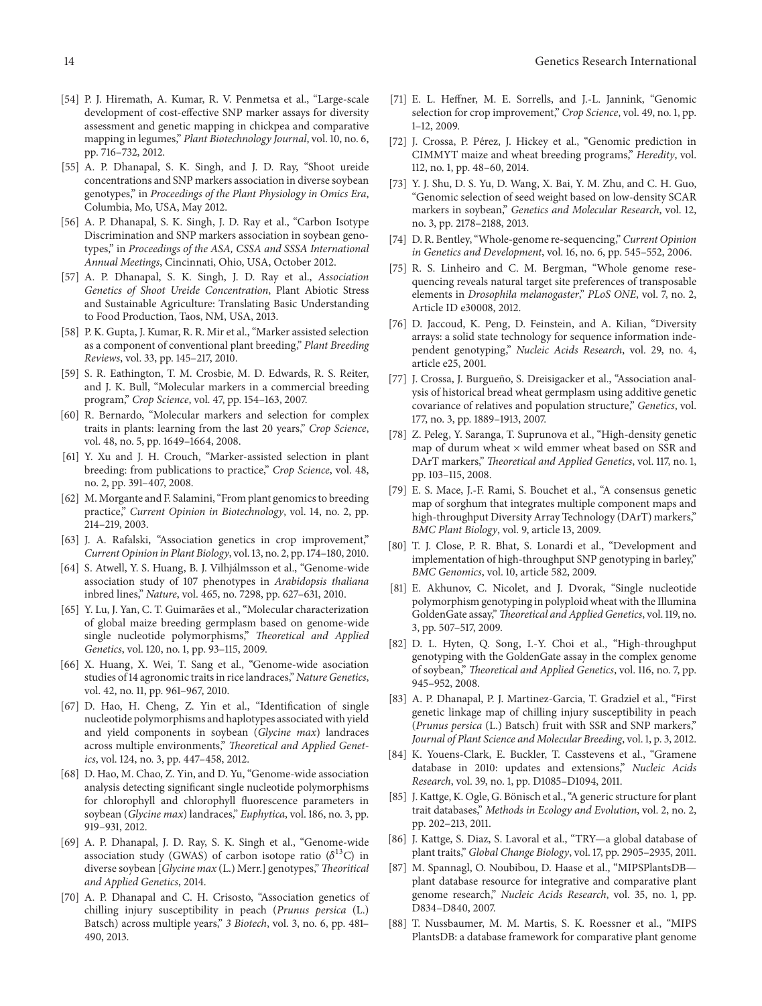- [54] P. J. Hiremath, A. Kumar, R. V. Penmetsa et al., "Large-scale development of cost-effective SNP marker assays for diversity assessment and genetic mapping in chickpea and comparative mapping in legumes," *Plant Biotechnology Journal*, vol. 10, no. 6, pp. 716–732, 2012.
- [55] A. P. Dhanapal, S. K. Singh, and J. D. Ray, "Shoot ureide concentrations and SNP markers association in diverse soybean genotypes," in *Proceedings of the Plant Physiology in Omics Era*, Columbia, Mo, USA, May 2012.
- [56] A. P. Dhanapal, S. K. Singh, J. D. Ray et al., "Carbon Isotype Discrimination and SNP markers association in soybean genotypes," in *Proceedings of the ASA, CSSA and SSSA International Annual Meetings*, Cincinnati, Ohio, USA, October 2012.
- [57] A. P. Dhanapal, S. K. Singh, J. D. Ray et al., *Association Genetics of Shoot Ureide Concentration*, Plant Abiotic Stress and Sustainable Agriculture: Translating Basic Understanding to Food Production, Taos, NM, USA, 2013.
- [58] P. K. Gupta, J. Kumar, R. R. Mir et al., "Marker assisted selection as a component of conventional plant breeding," *Plant Breeding Reviews*, vol. 33, pp. 145–217, 2010.
- [59] S. R. Eathington, T. M. Crosbie, M. D. Edwards, R. S. Reiter, and J. K. Bull, "Molecular markers in a commercial breeding program," *Crop Science*, vol. 47, pp. 154–163, 2007.
- [60] R. Bernardo, "Molecular markers and selection for complex traits in plants: learning from the last 20 years," *Crop Science*, vol. 48, no. 5, pp. 1649–1664, 2008.
- [61] Y. Xu and J. H. Crouch, "Marker-assisted selection in plant breeding: from publications to practice," *Crop Science*, vol. 48, no. 2, pp. 391–407, 2008.
- [62] M. Morgante and F. Salamini, "From plant genomics to breeding practice," *Current Opinion in Biotechnology*, vol. 14, no. 2, pp. 214–219, 2003.
- [63] J. A. Rafalski, "Association genetics in crop improvement," *Current Opinion in Plant Biology*, vol. 13, no. 2, pp. 174–180, 2010.
- [64] S. Atwell, Y. S. Huang, B. J. Vilhjálmsson et al., "Genome-wide association study of 107 phenotypes in *Arabidopsis thaliana* inbred lines," *Nature*, vol. 465, no. 7298, pp. 627–631, 2010.
- [65] Y. Lu, J. Yan, C. T. Guimarães et al., "Molecular characterization of global maize breeding germplasm based on genome-wide single nucleotide polymorphisms," *Theoretical and Applied Genetics*, vol. 120, no. 1, pp. 93–115, 2009.
- [66] X. Huang, X. Wei, T. Sang et al., "Genome-wide asociation studies of 14 agronomic traits in rice landraces," *Nature Genetics*, vol. 42, no. 11, pp. 961–967, 2010.
- [67] D. Hao, H. Cheng, Z. Yin et al., "Identification of single nucleotide polymorphisms and haplotypes associated with yield and yield components in soybean (*Glycine max*) landraces across multiple environments," *Theoretical and Applied Genetics*, vol. 124, no. 3, pp. 447–458, 2012.
- [68] D. Hao, M. Chao, Z. Yin, and D. Yu, "Genome-wide association analysis detecting significant single nucleotide polymorphisms for chlorophyll and chlorophyll fluorescence parameters in soybean (*Glycine max*) landraces," *Euphytica*, vol. 186, no. 3, pp. 919–931, 2012.
- [69] A. P. Dhanapal, J. D. Ray, S. K. Singh et al., "Genome-wide association study (GWAS) of carbon isotope ratio ( $\delta^{13}$ C) in diverse soybean [*Glycine max* (L.) Merr.] genotypes," *Theoritical and Applied Genetics*, 2014.
- [70] A. P. Dhanapal and C. H. Crisosto, "Association genetics of chilling injury susceptibility in peach (*Prunus persica* (L.) Batsch) across multiple years," *3 Biotech*, vol. 3, no. 6, pp. 481– 490, 2013.
- [71] E. L. Heffner, M. E. Sorrells, and J.-L. Jannink, "Genomic selection for crop improvement," *Crop Science*, vol. 49, no. 1, pp. 1–12, 2009.
- [72] J. Crossa, P. Pérez, J. Hickey et al., "Genomic prediction in CIMMYT maize and wheat breeding programs," *Heredity*, vol. 112, no. 1, pp. 48–60, 2014.
- [73] Y. J. Shu, D. S. Yu, D. Wang, X. Bai, Y. M. Zhu, and C. H. Guo, "Genomic selection of seed weight based on low-density SCAR markers in soybean," *Genetics and Molecular Research*, vol. 12, no. 3, pp. 2178–2188, 2013.
- [74] D. R. Bentley, "Whole-genome re-sequencing," *Current Opinion in Genetics and Development*, vol. 16, no. 6, pp. 545–552, 2006.
- [75] R. S. Linheiro and C. M. Bergman, "Whole genome resequencing reveals natural target site preferences of transposable elements in *Drosophila melanogaster*," *PLoS ONE*, vol. 7, no. 2, Article ID e30008, 2012.
- [76] D. Jaccoud, K. Peng, D. Feinstein, and A. Kilian, "Diversity arrays: a solid state technology for sequence information independent genotyping," *Nucleic Acids Research*, vol. 29, no. 4, article e25, 2001.
- [77] J. Crossa, J. Burgueño, S. Dreisigacker et al., "Association analysis of historical bread wheat germplasm using additive genetic covariance of relatives and population structure," *Genetics*, vol. 177, no. 3, pp. 1889–1913, 2007.
- [78] Z. Peleg, Y. Saranga, T. Suprunova et al., "High-density genetic map of durum wheat  $\times$  wild emmer wheat based on SSR and DArT markers," *Theoretical and Applied Genetics*, vol. 117, no. 1, pp. 103–115, 2008.
- [79] E. S. Mace, J.-F. Rami, S. Bouchet et al., "A consensus genetic map of sorghum that integrates multiple component maps and high-throughput Diversity Array Technology (DArT) markers," *BMC Plant Biology*, vol. 9, article 13, 2009.
- [80] T. J. Close, P. R. Bhat, S. Lonardi et al., "Development and implementation of high-throughput SNP genotyping in barley," *BMC Genomics*, vol. 10, article 582, 2009.
- [81] E. Akhunov, C. Nicolet, and J. Dvorak, "Single nucleotide polymorphism genotyping in polyploid wheat with the Illumina GoldenGate assay,"*Theoretical and Applied Genetics*, vol. 119, no. 3, pp. 507–517, 2009.
- [82] D. L. Hyten, Q. Song, I.-Y. Choi et al., "High-throughput genotyping with the GoldenGate assay in the complex genome of soybean," *Theoretical and Applied Genetics*, vol. 116, no. 7, pp. 945–952, 2008.
- [83] A. P. Dhanapal, P. J. Martinez-Garcia, T. Gradziel et al., "First genetic linkage map of chilling injury susceptibility in peach (*Prunus persica* (L.) Batsch) fruit with SSR and SNP markers," *Journal of Plant Science and Molecular Breeding*, vol. 1, p. 3, 2012.
- [84] K. Youens-Clark, E. Buckler, T. Casstevens et al., "Gramene database in 2010: updates and extensions," *Nucleic Acids Research*, vol. 39, no. 1, pp. D1085–D1094, 2011.
- [85] J. Kattge, K. Ogle, G. Bönisch et al., "A generic structure for plant trait databases," *Methods in Ecology and Evolution*, vol. 2, no. 2, pp. 202–213, 2011.
- [86] J. Kattge, S. Diaz, S. Lavoral et al., "TRY—a global database of plant traits," *Global Change Biology*, vol. 17, pp. 2905–2935, 2011.
- [87] M. Spannagl, O. Noubibou, D. Haase et al., "MIPSPlantsDB plant database resource for integrative and comparative plant genome research," *Nucleic Acids Research*, vol. 35, no. 1, pp. D834–D840, 2007.
- [88] T. Nussbaumer, M. M. Martis, S. K. Roessner et al., "MIPS PlantsDB: a database framework for comparative plant genome